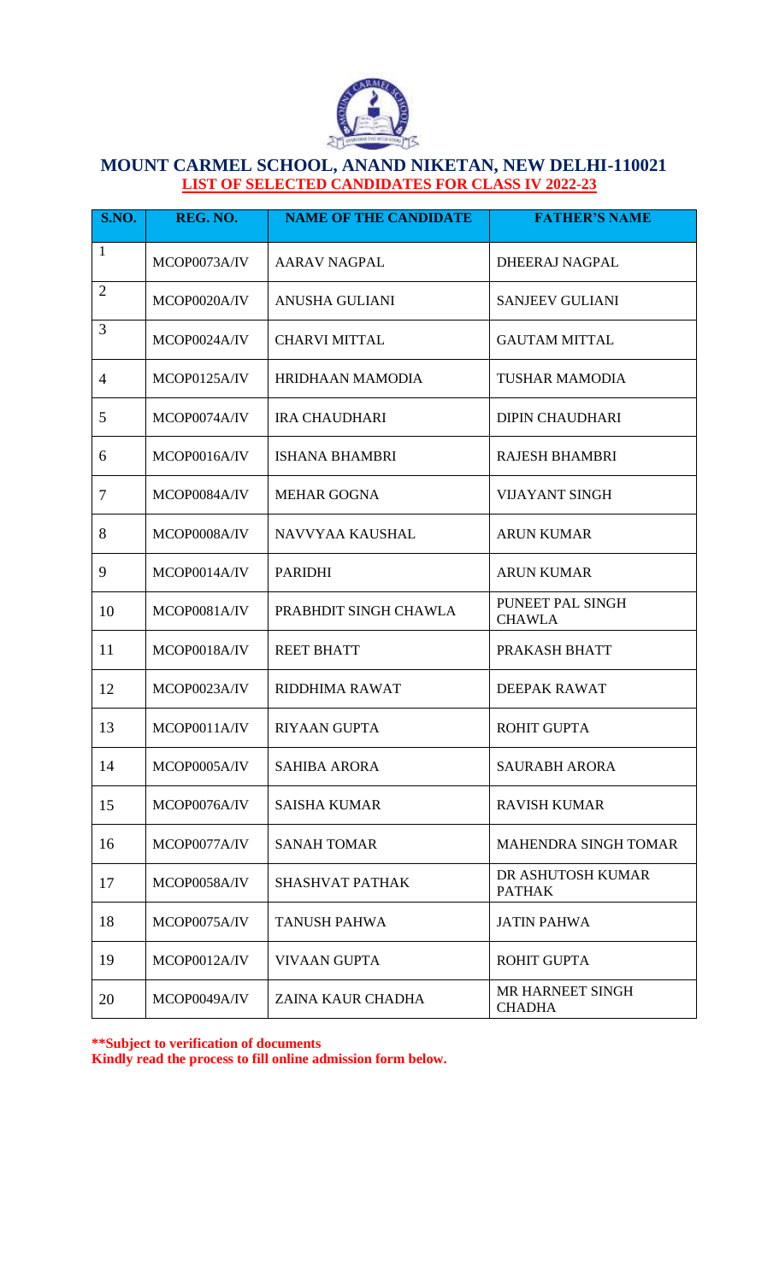

## **MOUNT CARMEL SCHOOL, ANAND NIKETAN, NEW DELHI-110021 LIST OF SELECTED CANDIDATES FOR CLASS IV 2022-23**

| S.NO.          | REG. NO.     | <b>NAME OF THE CANDIDATE</b> | <b>FATHER'S NAME</b>               |
|----------------|--------------|------------------------------|------------------------------------|
| 1              | MCOP0073A/IV | <b>AARAV NAGPAL</b>          | DHEERAJ NAGPAL                     |
| $\overline{2}$ | MCOP0020A/IV | ANUSHA GULIANI               | <b>SANJEEV GULIANI</b>             |
| 3              | MCOP0024A/IV | <b>CHARVI MITTAL</b>         | <b>GAUTAM MITTAL</b>               |
| $\overline{4}$ | MCOP0125A/IV | HRIDHAAN MAMODIA             | <b>TUSHAR MAMODIA</b>              |
| 5              | MCOP0074A/IV | <b>IRA CHAUDHARI</b>         | <b>DIPIN CHAUDHARI</b>             |
| 6              | MCOP0016A/IV | <b>ISHANA BHAMBRI</b>        | <b>RAJESH BHAMBRI</b>              |
| $\overline{7}$ | MCOP0084A/IV | <b>MEHAR GOGNA</b>           | <b>VIJAYANT SINGH</b>              |
| 8              | MCOP0008A/IV | NAVVYAA KAUSHAL              | <b>ARUN KUMAR</b>                  |
| 9              | MCOP0014A/IV | <b>PARIDHI</b>               | <b>ARUN KUMAR</b>                  |
| 10             | MCOP0081A/IV | PRABHDIT SINGH CHAWLA        | PUNEET PAL SINGH<br><b>CHAWLA</b>  |
| 11             | MCOP0018A/IV | <b>REET BHATT</b>            | PRAKASH BHATT                      |
| 12             | MCOP0023A/IV | RIDDHIMA RAWAT               | DEEPAK RAWAT                       |
| 13             | MCOP0011A/IV | <b>RIYAAN GUPTA</b>          | <b>ROHIT GUPTA</b>                 |
| 14             | MCOP0005A/IV | <b>SAHIBA ARORA</b>          | <b>SAURABH ARORA</b>               |
| 15             | MCOP0076A/IV | <b>SAISHA KUMAR</b>          | <b>RAVISH KUMAR</b>                |
| 16             | MCOP0077A/IV | <b>SANAH TOMAR</b>           | <b>MAHENDRA SINGH TOMAR</b>        |
| 17             | MCOP0058A/IV | <b>SHASHVAT PATHAK</b>       | DR ASHUTOSH KUMAR<br><b>PATHAK</b> |
| 18             | MCOP0075A/IV | <b>TANUSH PAHWA</b>          | <b>JATIN PAHWA</b>                 |
| 19             | MCOP0012A/IV | <b>VIVAAN GUPTA</b>          | <b>ROHIT GUPTA</b>                 |
| 20             | MCOP0049A/IV | ZAINA KAUR CHADHA            | MR HARNEET SINGH<br><b>CHADHA</b>  |

**\*\*Subject to verification of documents Kindly read the process to fill online admission form below.**